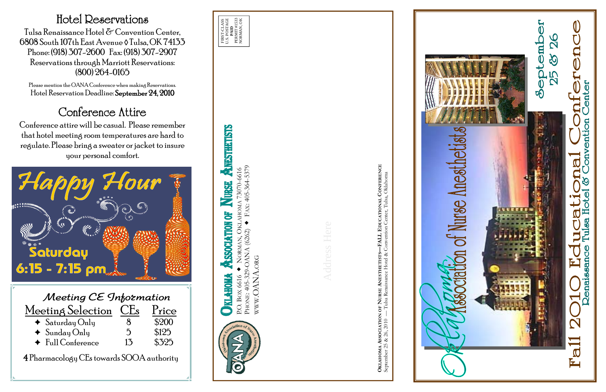P.O. BOX 6616 NORMAN, OKLAHOMA 73070-6616 PHONE: 405-329-OANA (6262) FAX: 405-364-5379 WWW.OANA.ORG



**OKLAHOMA ASSOCIATION OF NURSE ANESTHETISTS—FALL EDUCATIONAL CONFERENCE**





## Hotel Reservations

Tulsa Renaissance Hotel & Convention Center, 6808 South 107th East Avenue ◊ Tulsa, OK 74133 Phone: (918) 307-2600 Fax: (918) 307-2907 Reservations through Marriott Reservations: (800) 264-0165

Please mention the OANA Conference when making Reservations. Hotel Reservation Deadline: September 24, 2010

## Conference Attire

Conference attire will be casual. Please remember that hotel meeting room temperatures are hard to regulate. Please bring a sweater or jacket to insure your personal comfort.

| POSTAGE<br>#1533<br>ŠК<br>ASS<br>FIRST-CL<br>NORMAN<br>$\overline{A}$<br>PERMI<br>Š. |
|--------------------------------------------------------------------------------------|
|--------------------------------------------------------------------------------------|